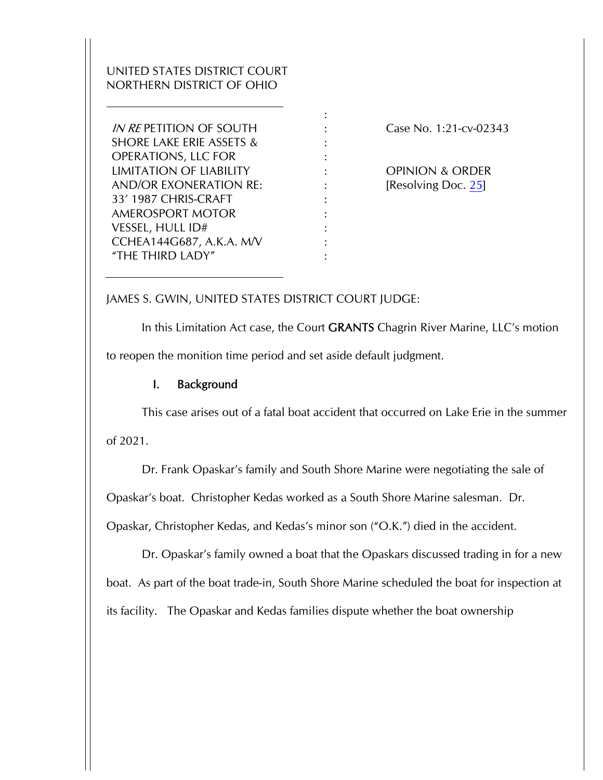# UNITED STATES DISTRICT COURT NORTHERN DISTRICT OF OHIO

IN RE PETITION OF SOUTH SHORE LAKE ERIE ASSETS & OPERATIONS, LLC FOR LIMITATION OF LIABILITY AND/OR EXONERATION RE: 33' 1987 CHRIS-CRAFT AMEROSPORT MOTOR VESSEL, HULL ID# CCHEA144G687, A.K.A. M/V "THE THIRD LADY"

Case No. 1:21-cv-02343

OPINION & ORDER [Resolving Doc. 25]

#### JAMES S. GWIN, UNITED STATES DISTRICT COURT JUDGE:

In this Limitation Act case, the Court **GRANTS** Chagrin River Marine, LLC's motion to reopen the monition time period and set aside default judgment.

: : : : : : : : : : :

#### I. Background

This case arises out of a fatal boat accident that occurred on Lake Erie in the summer of 2021.

Dr. Frank Opaskar's family and South Shore Marine were negotiating the sale of

Opaskar's boat. Christopher Kedas worked as a South Shore Marine salesman. Dr.

Opaskar, Christopher Kedas, and Kedas's minor son ("O.K.") died in the accident.

Dr. Opaskar's family owned a boat that the Opaskars discussed trading in for a new boat. As part of the boat trade-in, South Shore Marine scheduled the boat for inspection at its facility. The Opaskar and Kedas families dispute whether the boat ownership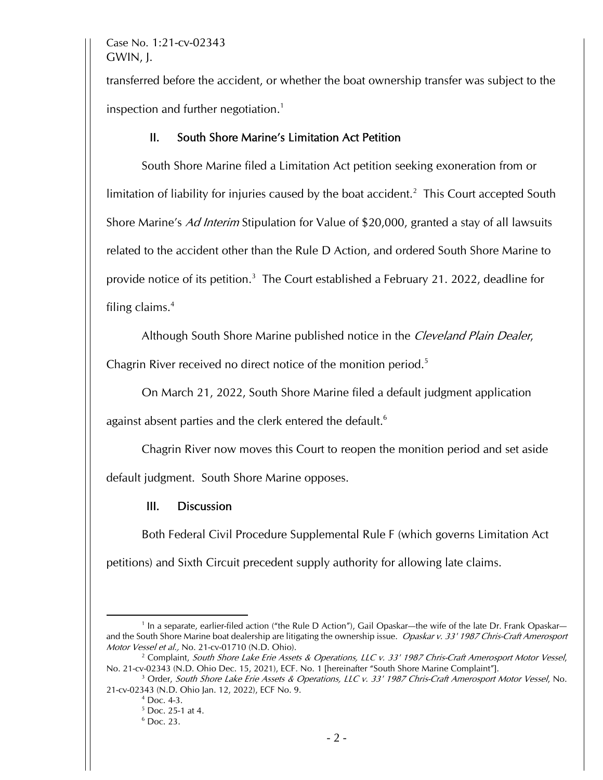Case No. 1:21-cv-02343 GWIN, J.

transferred before the accident, or whether the boat ownership transfer was subject to the inspection and further negotiation.<sup>1</sup>

### II. South Shore Marine's Limitation Act Petition

South Shore Marine filed a Limitation Act petition seeking exoneration from or limitation of liability for injuries caused by the boat accident.<sup>2</sup> This Court accepted South Shore Marine's Ad Interim Stipulation for Value of \$20,000, granted a stay of all lawsuits related to the accident other than the Rule D Action, and ordered South Shore Marine to provide notice of its petition.<sup>3</sup> The Court established a February 21. 2022, deadline for filing claims.4

Although South Shore Marine published notice in the Cleveland Plain Dealer,

Chagrin River received no direct notice of the monition period.<sup>5</sup>

On March 21, 2022, South Shore Marine filed a default judgment application

against absent parties and the clerk entered the default.<sup>6</sup>

Chagrin River now moves this Court to reopen the monition period and set aside

default judgment. South Shore Marine opposes.

## III. Discussion

Both Federal Civil Procedure Supplemental Rule F (which governs Limitation Act petitions) and Sixth Circuit precedent supply authority for allowing late claims.

<sup>&</sup>lt;sup>1</sup> In a separate, earlier-filed action ("the Rule D Action"), Gail Opaskar—the wife of the late Dr. Frank Opaskar and the South Shore Marine boat dealership are litigating the ownership issue. Opaskar v. 33' 1987 Chris-Craft Amerosport Motor Vessel et al., No. 21-cv-01710 (N.D. Ohio).

<sup>&</sup>lt;sup>2</sup> Complaint, South Shore Lake Erie Assets & Operations, LLC v. 33' 1987 Chris-Craft Amerosport Motor Vessel, No. 21-cv-02343 (N.D. Ohio Dec. 15, 2021), ECF. No. 1 [hereinafter "South Shore Marine Complaint"]. 3

 $^3$  Order, South Shore Lake Erie Assets & Operations, LLC v. 33' 1987 Chris-Craft Amerosport Motor Vessel, No. 21-cv-02343 (N.D. Ohio Jan. 12, 2022), ECF No. 9. 4

 $4$  Doc. 4-3.

<sup>5</sup> Doc. 25-1 at 4.

<sup>6</sup> Doc. 23.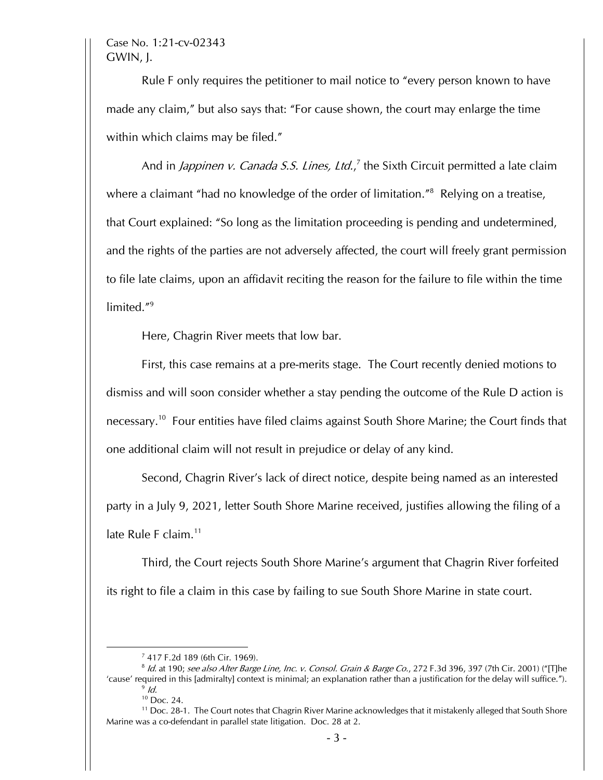Case No. 1:21-cv-02343 GWIN, J.

Rule F only requires the petitioner to mail notice to "every person known to have made any claim," but also says that: "For cause shown, the court may enlarge the time within which claims may be filed."

And in *Jappinen v. Canada S.S. Lines, Ltd.*,<sup>7</sup> the Sixth Circuit permitted a late claim where a claimant "had no knowledge of the order of limitation."<sup>8</sup> Relying on a treatise, that Court explained: "So long as the limitation proceeding is pending and undetermined, and the rights of the parties are not adversely affected, the court will freely grant permission to file late claims, upon an affidavit reciting the reason for the failure to file within the time limited."9

Here, Chagrin River meets that low bar.

First, this case remains at a pre-merits stage. The Court recently denied motions to dismiss and will soon consider whether a stay pending the outcome of the Rule D action is necessary.<sup>10</sup> Four entities have filed claims against South Shore Marine; the Court finds that one additional claim will not result in prejudice or delay of any kind.

Second, Chagrin River's lack of direct notice, despite being named as an interested party in a July 9, 2021, letter South Shore Marine received, justifies allowing the filing of a late Rule F claim.<sup>11</sup>

Third, the Court rejects South Shore Marine's argument that Chagrin River forfeited its right to file a claim in this case by failing to sue South Shore Marine in state court.

<sup>7</sup> 417 F.2d 189 (6th Cir. 1969).

<sup>&</sup>lt;sup>8</sup> Id. at 190; see also Alter Barge Line, Inc. v. Consol. Grain & Barge Co., 272 F.3d 396, 397 (7th Cir. 2001) ("[T]he 'cause' required in this [admiralty] context is minimal; an explanation rather than a justification for the delay will suffice.").  $\frac{9}{10}$ 

<sup>10</sup> Doc. 24.

<sup>&</sup>lt;sup>11</sup> Doc. 28-1. The Court notes that Chagrin River Marine acknowledges that it mistakenly alleged that South Shore Marine was a co-defendant in parallel state litigation. Doc. 28 at 2.